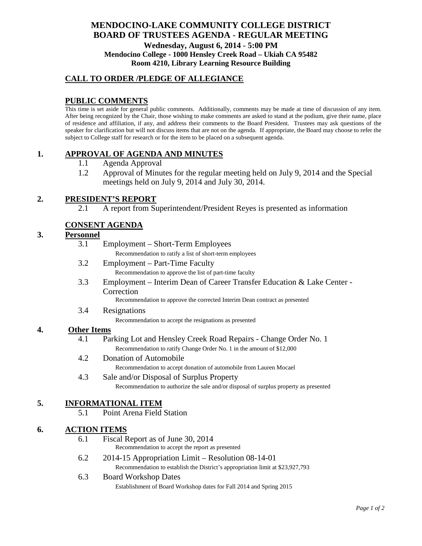# **MENDOCINO-LAKE COMMUNITY COLLEGE DISTRICT BOARD OF TRUSTEES AGENDA** - **REGULAR MEETING Wednesday, August 6, 2014 - 5:00 PM Mendocino College - 1000 Hensley Creek Road – Ukiah CA 95482 Room 4210, Library Learning Resource Building**

### **CALL TO ORDER /PLEDGE OF ALLEGIANCE**

# **PUBLIC COMMENTS**

This time is set aside for general public comments. Additionally, comments may be made at time of discussion of any item. After being recognized by the Chair, those wishing to make comments are asked to stand at the podium, give their name, place of residence and affiliation, if any, and address their comments to the Board President. Trustees may ask questions of the speaker for clarification but will not discuss items that are not on the agenda. If appropriate, the Board may choose to refer the subject to College staff for research or for the item to be placed on a subsequent agenda.

### **1. APPROVAL OF AGENDA AND MINUTES**

- 1.1 Agenda Approval
- 1.2 Approval of Minutes for the regular meeting held on July 9, 2014 and the Special meetings held on July 9, 2014 and July 30, 2014.

### **2. PRESIDENT'S REPORT**

2.1 A report from Superintendent/President Reyes is presented as information

### **CONSENT AGENDA**

#### **3. Personnel**

| 3.1 | Employment – Short-Term Employees                       |
|-----|---------------------------------------------------------|
|     | Recommendation to ratify a list of short-term employees |
| 3.2 | Employment – Part-Time Faculty                          |

- Recommendation to approve the list of part-time faculty
- 3.3 Employment Interim Dean of Career Transfer Education & Lake Center Correction

Recommendation to approve the corrected Interim Dean contract as presented

3.4 Resignations

Recommendation to accept the resignations as presented

#### **4. Other Items**

- 4.1 Parking Lot and Hensley Creek Road Repairs Change Order No. 1 Recommendation to ratify Change Order No. 1 in the amount of \$12,000
- 4.2 Donation of Automobile

Recommendation to accept donation of automobile from Lauren Mocael

#### 4.3 Sale and/or Disposal of Surplus Property Recommendation to authorize the sale and/or disposal of surplus property as presented

### **5. INFORMATIONAL ITEM**

5.1 Point Arena Field Station

### **6. ACTION ITEMS**

- 6.1 Fiscal Report as of June 30, 2014 Recommendation to accept the report as presented
- 6.2 2014-15 Appropriation Limit Resolution 08-14-01 Recommendation to establish the District's appropriation limit at \$23,927,793
- 6.3 Board Workshop Dates Establishment of Board Workshop dates for Fall 2014 and Spring 2015